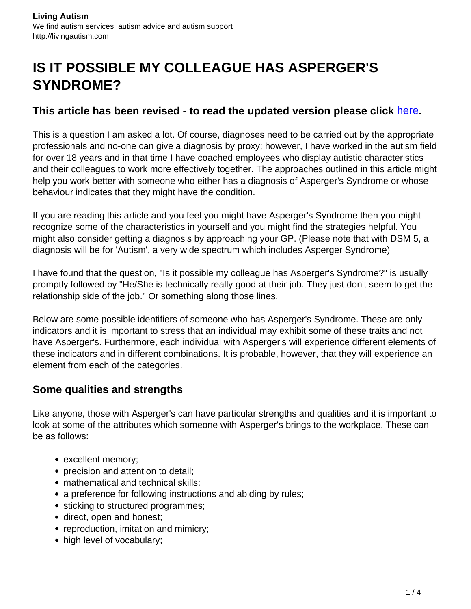# **IS IT POSSIBLE MY COLLEAGUE HAS ASPERGER'S SYNDROME?**

#### **This article has been revised - to read the updated version please click** [here](http://livingautism.com/know-colleague-aspergers-syndrome/)**.**

This is a question I am asked a lot. Of course, diagnoses need to be carried out by the appropriate professionals and no-one can give a diagnosis by proxy; however, I have worked in the autism field for over 18 years and in that time I have coached employees who display autistic characteristics and their colleagues to work more effectively together. The approaches outlined in this article might help you work better with someone who either has a diagnosis of Asperger's Syndrome or whose behaviour indicates that they might have the condition.

If you are reading this article and you feel you might have Asperger's Syndrome then you might recognize some of the characteristics in yourself and you might find the strategies helpful. You might also consider getting a diagnosis by approaching your GP. (Please note that with DSM 5, a diagnosis will be for 'Autism', a very wide spectrum which includes Asperger Syndrome)

I have found that the question, "Is it possible my colleague has Asperger's Syndrome?" is usually promptly followed by "He/She is technically really good at their job. They just don't seem to get the relationship side of the job." Or something along those lines.

Below are some possible identifiers of someone who has Asperger's Syndrome. These are only indicators and it is important to stress that an individual may exhibit some of these traits and not have Asperger's. Furthermore, each individual with Asperger's will experience different elements of these indicators and in different combinations. It is probable, however, that they will experience an element from each of the categories.

## **Some qualities and strengths**

Like anyone, those with Asperger's can have particular strengths and qualities and it is important to look at some of the attributes which someone with Asperger's brings to the workplace. These can be as follows:

- excellent memory;
- precision and attention to detail;
- mathematical and technical skills;
- a preference for following instructions and abiding by rules;
- sticking to structured programmes;
- direct, open and honest;
- reproduction, imitation and mimicry;
- high level of vocabulary;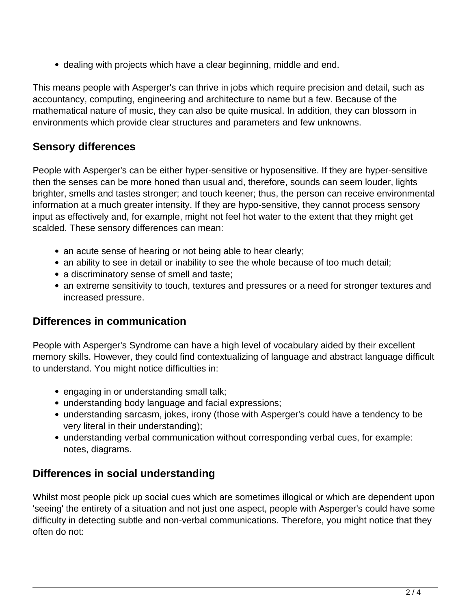dealing with projects which have a clear beginning, middle and end.

This means people with Asperger's can thrive in jobs which require precision and detail, such as accountancy, computing, engineering and architecture to name but a few. Because of the mathematical nature of music, they can also be quite musical. In addition, they can blossom in environments which provide clear structures and parameters and few unknowns.

# **Sensory differences**

People with Asperger's can be either hyper-sensitive or hyposensitive. If they are hyper-sensitive then the senses can be more honed than usual and, therefore, sounds can seem louder, lights brighter, smells and tastes stronger; and touch keener; thus, the person can receive environmental information at a much greater intensity. If they are hypo-sensitive, they cannot process sensory input as effectively and, for example, might not feel hot water to the extent that they might get scalded. These sensory differences can mean:

- an acute sense of hearing or not being able to hear clearly;
- an ability to see in detail or inability to see the whole because of too much detail;
- a discriminatory sense of smell and taste;
- an extreme sensitivity to touch, textures and pressures or a need for stronger textures and increased pressure.

#### **Differences in communication**

People with Asperger's Syndrome can have a high level of vocabulary aided by their excellent memory skills. However, they could find contextualizing of language and abstract language difficult to understand. You might notice difficulties in:

- engaging in or understanding small talk;
- understanding body language and facial expressions;
- understanding sarcasm, jokes, irony (those with Asperger's could have a tendency to be very literal in their understanding);
- understanding verbal communication without corresponding verbal cues, for example: notes, diagrams.

## **Differences in social understanding**

Whilst most people pick up social cues which are sometimes illogical or which are dependent upon 'seeing' the entirety of a situation and not just one aspect, people with Asperger's could have some difficulty in detecting subtle and non-verbal communications. Therefore, you might notice that they often do not: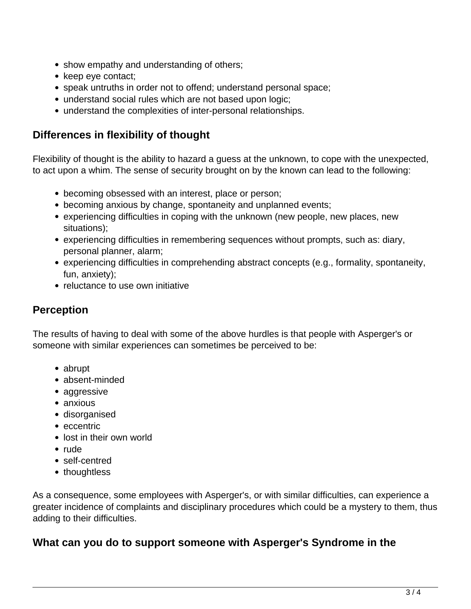- show empathy and understanding of others;
- keep eye contact;
- speak untruths in order not to offend; understand personal space;
- understand social rules which are not based upon logic;
- understand the complexities of inter-personal relationships.

## **Differences in flexibility of thought**

Flexibility of thought is the ability to hazard a guess at the unknown, to cope with the unexpected, to act upon a whim. The sense of security brought on by the known can lead to the following:

- becoming obsessed with an interest, place or person;
- becoming anxious by change, spontaneity and unplanned events;
- experiencing difficulties in coping with the unknown (new people, new places, new situations);
- experiencing difficulties in remembering sequences without prompts, such as: diary, personal planner, alarm;
- experiencing difficulties in comprehending abstract concepts (e.g., formality, spontaneity, fun, anxiety);
- reluctance to use own initiative

# **Perception**

The results of having to deal with some of the above hurdles is that people with Asperger's or someone with similar experiences can sometimes be perceived to be:

- abrupt
- absent-minded
- aggressive
- anxious
- disorganised
- eccentric
- lost in their own world
- rude
- self-centred
- thoughtless

As a consequence, some employees with Asperger's, or with similar difficulties, can experience a greater incidence of complaints and disciplinary procedures which could be a mystery to them, thus adding to their difficulties.

## **What can you do to support someone with Asperger's Syndrome in the**